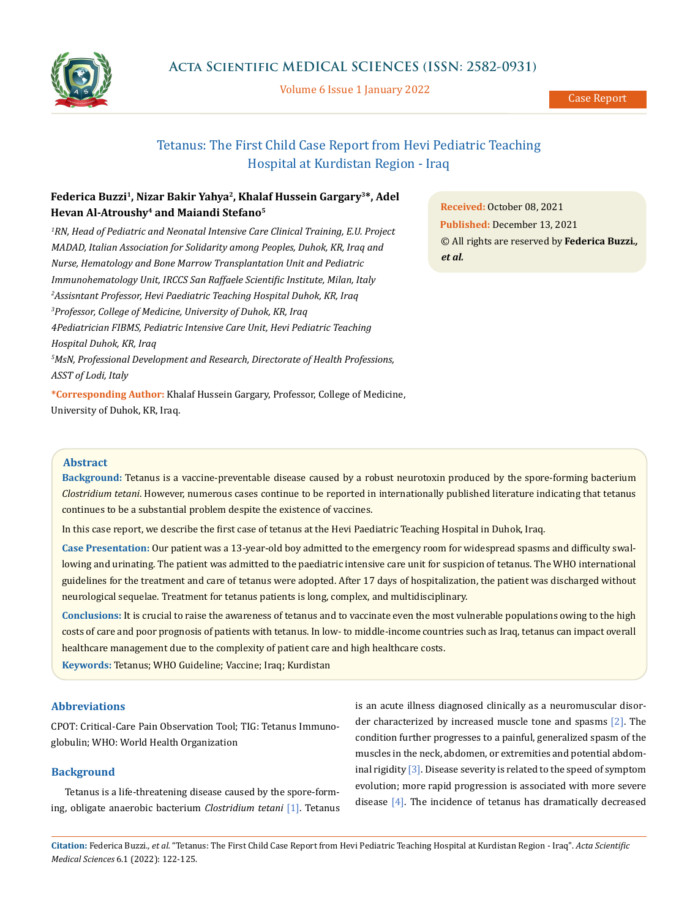

Volume 6 Issue 1 January 2022

# Tetanus: The First Child Case Report from Hevi Pediatric Teaching Hospital at Kurdistan Region - Iraq

## **Federica Buzzi1, Nizar Bakir Yahya2, Khalaf Hussein Gargary3\*, Adel Hevan Al-Atroushy4 and Maiandi Stefano5**

*1 RN, Head of Pediatric and Neonatal Intensive Care Clinical Training, E.U. Project MADAD, Italian Association for Solidarity among Peoples, Duhok, KR, Iraq and Nurse, Hematology and Bone Marrow Transplantation Unit and Pediatric Immunohematology Unit, IRCCS San Raffaele Scientific Institute, Milan, Italy 2 Assisntant Professor, Hevi Paediatric Teaching Hospital Duhok, KR, Iraq 3 Professor, College of Medicine, University of Duhok, KR, Iraq 4Pediatrician FIBMS, Pediatric Intensive Care Unit, Hevi Pediatric Teaching Hospital Duhok, KR, Iraq 5 MsN, Professional Development and Research, Directorate of Health Professions, ASST of Lodi, Italy*

**\*Corresponding Author:** Khalaf Hussein Gargary, Professor, College of Medicine, University of Duhok, KR, Iraq.

**Received:** October 08, 2021 **Published:** December 13, 2021 © All rights are reserved by **Federica Buzzi***., et al.*

## **Abstract**

**Background:** Tetanus is a vaccine-preventable disease caused by a robust neurotoxin produced by the spore-forming bacterium *Clostridium tetani*. However, numerous cases continue to be reported in internationally published literature indicating that tetanus continues to be a substantial problem despite the existence of vaccines.

In this case report, we describe the first case of tetanus at the Hevi Paediatric Teaching Hospital in Duhok, Iraq.

**Case Presentation:** Our patient was a 13-year-old boy admitted to the emergency room for widespread spasms and difficulty swallowing and urinating. The patient was admitted to the paediatric intensive care unit for suspicion of tetanus. The WHO international guidelines for the treatment and care of tetanus were adopted. After 17 days of hospitalization, the patient was discharged without neurological sequelae. Treatment for tetanus patients is long, complex, and multidisciplinary.

**Conclusions:** It is crucial to raise the awareness of tetanus and to vaccinate even the most vulnerable populations owing to the high costs of care and poor prognosis of patients with tetanus. In low- to middle-income countries such as Iraq, tetanus can impact overall healthcare management due to the complexity of patient care and high healthcare costs.

**Keywords:** Tetanus; WHO Guideline; Vaccine; Iraq; Kurdistan

## **Abbreviations**

CPOT: Critical-Care Pain Observation Tool; TIG: Tetanus Immunoglobulin; WHO: World Health Organization

### **Background**

Tetanus is a life-threatening disease caused by the spore-forming, obligate anaerobic bacterium *Clostridium tetani* [1]. Tetanus is an acute illness diagnosed clinically as a neuromuscular disorder characterized by increased muscle tone and spasms [2]. The condition further progresses to a painful, generalized spasm of the muscles in the neck, abdomen, or extremities and potential abdominal rigidity  $[3]$ . Disease severity is related to the speed of symptom evolution; more rapid progression is associated with more severe disease [4]. The incidence of tetanus has dramatically decreased

**Citation:** Federica Buzzi*., et al.* "Tetanus: The First Child Case Report from Hevi Pediatric Teaching Hospital at Kurdistan Region - Iraq". *Acta Scientific Medical Sciences* 6.1 (2022): 122-125.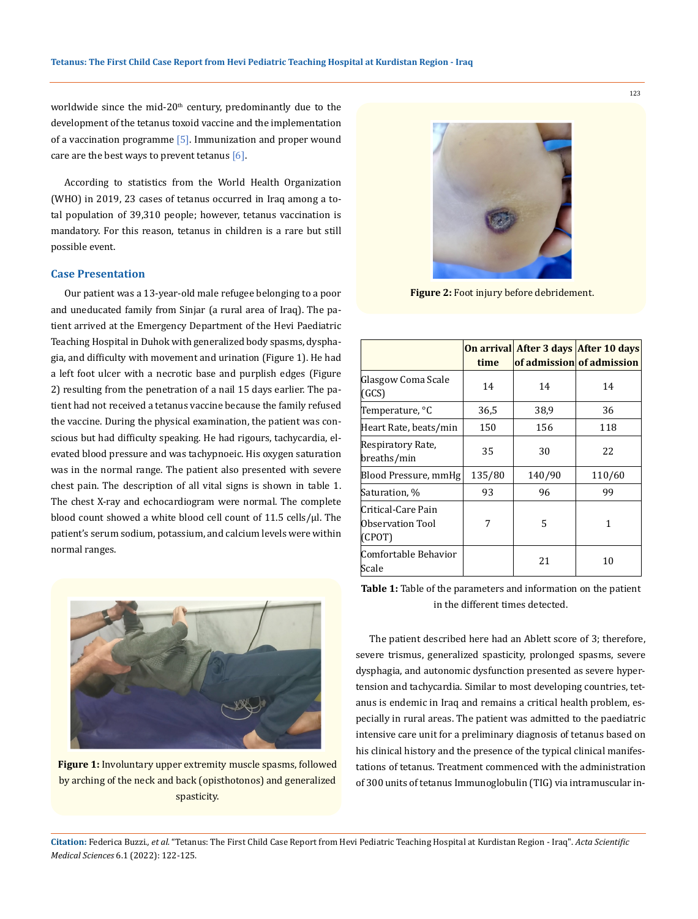worldwide since the mid-20<sup>th</sup> century, predominantly due to the development of the tetanus toxoid vaccine and the implementation of a vaccination programme  $[5]$ . Immunization and proper wound care are the best ways to prevent tetanus  $[6]$ .

According to statistics from the World Health Organization (WHO) in 2019, 23 cases of tetanus occurred in Iraq among a total population of 39,310 people; however, tetanus vaccination is mandatory. For this reason, tetanus in children is a rare but still possible event.

## **Case Presentation**

Our patient was a 13-year-old male refugee belonging to a poor and uneducated family from Sinjar (a rural area of Iraq). The patient arrived at the Emergency Department of the Hevi Paediatric Teaching Hospital in Duhok with generalized body spasms, dysphagia, and difficulty with movement and urination (Figure 1). He had a left foot ulcer with a necrotic base and purplish edges (Figure 2) resulting from the penetration of a nail 15 days earlier. The patient had not received a tetanus vaccine because the family refused the vaccine. During the physical examination, the patient was conscious but had difficulty speaking. He had rigours, tachycardia, elevated blood pressure and was tachypnoeic. His oxygen saturation was in the normal range. The patient also presented with severe chest pain. The description of all vital signs is shown in table 1. The chest X-ray and echocardiogram were normal. The complete blood count showed a white blood cell count of 11.5 cells/μl. The patient's serum sodium, potassium, and calcium levels were within normal ranges.



**Figure 1:** Involuntary upper extremity muscle spasms, followed by arching of the neck and back (opisthotonos) and generalized spasticity.



**Figure 2:** Foot injury before debridement.

|                                                  | time   |        | On arrival After 3 days After 10 days<br>of admission of admission |
|--------------------------------------------------|--------|--------|--------------------------------------------------------------------|
| Glasgow Coma Scale<br>(GCS)                      | 14     | 14     | 14                                                                 |
| Temperature, °C                                  | 36,5   | 38,9   | 36                                                                 |
| Heart Rate, beats/min                            | 150    | 156    | 118                                                                |
| Respiratory Rate,<br>breaths/min                 | 35     | 30     | 22                                                                 |
| Blood Pressure, mmHg                             | 135/80 | 140/90 | 110/60                                                             |
| Saturation, %                                    | 93     | 96     | 99                                                                 |
| Critical-Care Pain<br>Observation Tool<br>(CPOT) | 7      | 5      | 1                                                                  |
| Comfortable Behavior<br>Scale                    |        | 21     | 10                                                                 |

**Table 1:** Table of the parameters and information on the patient in the different times detected.

The patient described here had an Ablett score of 3; therefore, severe trismus, generalized spasticity, prolonged spasms, severe dysphagia, and autonomic dysfunction presented as severe hypertension and tachycardia. Similar to most developing countries, tetanus is endemic in Iraq and remains a critical health problem, especially in rural areas. The patient was admitted to the paediatric intensive care unit for a preliminary diagnosis of tetanus based on his clinical history and the presence of the typical clinical manifestations of tetanus. Treatment commenced with the administration of 300 units of tetanus Immunoglobulin (TIG) via intramuscular in-

**Citation:** Federica Buzzi*., et al.* "Tetanus: The First Child Case Report from Hevi Pediatric Teaching Hospital at Kurdistan Region - Iraq". *Acta Scientific Medical Sciences* 6.1 (2022): 122-125.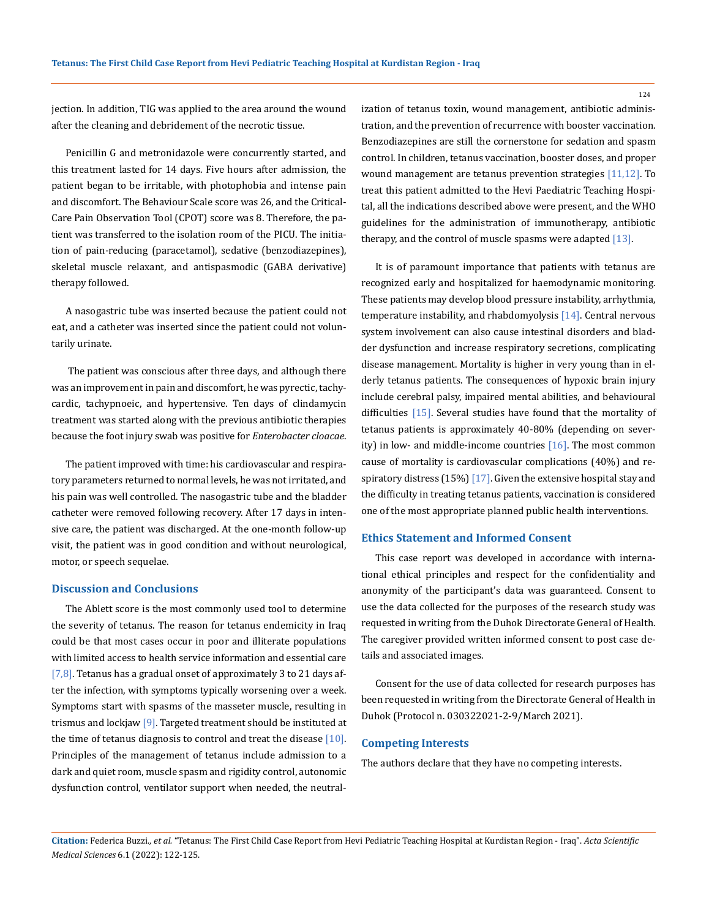jection. In addition, TIG was applied to the area around the wound after the cleaning and debridement of the necrotic tissue.

Penicillin G and metronidazole were concurrently started, and this treatment lasted for 14 days. Five hours after admission, the patient began to be irritable, with photophobia and intense pain and discomfort. The Behaviour Scale score was 26, and the Critical-Care Pain Observation Tool (CPOT) score was 8. Therefore, the patient was transferred to the isolation room of the PICU. The initiation of pain-reducing (paracetamol), sedative (benzodiazepines), skeletal muscle relaxant, and antispasmodic (GABA derivative) therapy followed.

A nasogastric tube was inserted because the patient could not eat, and a catheter was inserted since the patient could not voluntarily urinate.

 The patient was conscious after three days, and although there was an improvement in pain and discomfort, he was pyrectic, tachycardic, tachypnoeic, and hypertensive. Ten days of clindamycin treatment was started along with the previous antibiotic therapies because the foot injury swab was positive for *Enterobacter cloacae*.

The patient improved with time: his cardiovascular and respiratory parameters returned to normal levels, he was not irritated, and his pain was well controlled. The nasogastric tube and the bladder catheter were removed following recovery. After 17 days in intensive care, the patient was discharged. At the one-month follow-up visit, the patient was in good condition and without neurological, motor, or speech sequelae.

#### **Discussion and Conclusions**

The Ablett score is the most commonly used tool to determine the severity of tetanus. The reason for tetanus endemicity in Iraq could be that most cases occur in poor and illiterate populations with limited access to health service information and essential care [ $7,8$ ]. Tetanus has a gradual onset of approximately 3 to 21 days after the infection, with symptoms typically worsening over a week. Symptoms start with spasms of the masseter muscle, resulting in trismus and lockjaw  $[9]$ . Targeted treatment should be instituted at the time of tetanus diagnosis to control and treat the disease  $[10]$ . Principles of the management of tetanus include admission to a dark and quiet room, muscle spasm and rigidity control, autonomic dysfunction control, ventilator support when needed, the neutralization of tetanus toxin, wound management, antibiotic administration, and the prevention of recurrence with booster vaccination. Benzodiazepines are still the cornerstone for sedation and spasm control. In children, tetanus vaccination, booster doses, and proper wound management are tetanus prevention strategies [11,12]. To treat this patient admitted to the Hevi Paediatric Teaching Hospital, all the indications described above were present, and the WHO guidelines for the administration of immunotherapy, antibiotic therapy, and the control of muscle spasms were adapted [13].

It is of paramount importance that patients with tetanus are recognized early and hospitalized for haemodynamic monitoring. These patients may develop blood pressure instability, arrhythmia, temperature instability, and rhabdomyolysis [14]. Central nervous system involvement can also cause intestinal disorders and bladder dysfunction and increase respiratory secretions, complicating disease management. Mortality is higher in very young than in elderly tetanus patients. The consequences of hypoxic brain injury include cerebral palsy, impaired mental abilities, and behavioural difficulties [15]. Several studies have found that the mortality of tetanus patients is approximately 40-80% (depending on severity) in low- and middle-income countries [16]. The most common cause of mortality is cardiovascular complications (40%) and respiratory distress  $(15%)$  [17]. Given the extensive hospital stay and the difficulty in treating tetanus patients, vaccination is considered one of the most appropriate planned public health interventions.

#### **Ethics Statement and Informed Consent**

This case report was developed in accordance with international ethical principles and respect for the confidentiality and anonymity of the participant's data was guaranteed. Consent to use the data collected for the purposes of the research study was requested in writing from the Duhok Directorate General of Health. The caregiver provided written informed consent to post case details and associated images.

Consent for the use of data collected for research purposes has been requested in writing from the Directorate General of Health in Duhok (Protocol n. 030322021-2-9/March 2021).

#### **Competing Interests**

The authors declare that they have no competing interests.

**Citation:** Federica Buzzi*., et al.* "Tetanus: The First Child Case Report from Hevi Pediatric Teaching Hospital at Kurdistan Region - Iraq". *Acta Scientific Medical Sciences* 6.1 (2022): 122-125.

124